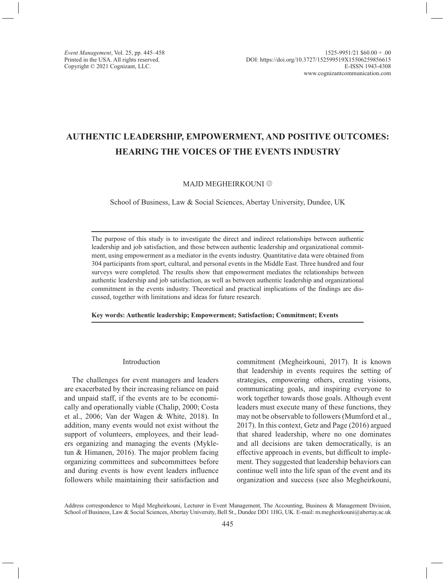# **AUTHENTIC LEADERSHIP, EMPOWERMENT, AND POSITIVE OUTCOMES: HEARING THE VOICES OF THE EVENTS INDUSTRY**

## MAJD MEGHEIRKOUNI<sup>O</sup>

School of Business, Law & Social Sciences, Abertay University, Dundee, UK

The purpose of this study is to investigate the direct and indirect relationships between authentic leadership and job satisfaction, and those between authentic leadership and organizational commitment, using empowerment as a mediator in the events industry. Quantitative data were obtained from 304 participants from sport, cultural, and personal events in the Middle East. Three hundred and four surveys were completed. The results show that empowerment mediates the relationships between authentic leadership and job satisfaction, as well as between authentic leadership and organizational commitment in the events industry. Theoretical and practical implications of the findings are discussed, together with limitations and ideas for future research.

**Key words: Authentic leadership; Empowerment; Satisfaction; Commitment; Events**

#### Introduction

The challenges for event managers and leaders are exacerbated by their increasing reliance on paid and unpaid staff, if the events are to be economically and operationally viable (Chalip, 2000; Costa et al., 2006; Van der Wagen & White, 2018). In addition, many events would not exist without the support of volunteers, employees, and their leaders organizing and managing the events (Mykletun & Himanen, 2016). The major problem facing organizing committees and subcommittees before and during events is how event leaders influence followers while maintaining their satisfaction and commitment (Megheirkouni, 2017). It is known that leadership in events requires the setting of strategies, empowering others, creating visions, communicating goals, and inspiring everyone to work together towards those goals. Although event leaders must execute many of these functions, they may not be observable to followers (Mumford et al., 2017). In this context, Getz and Page (2016) argued that shared leadership, where no one dominates and all decisions are taken democratically, is an effective approach in events, but difficult to implement. They suggested that leadership behaviors can continue well into the life span of the event and its organization and success (see also Megheirkouni,

Address correspondence to Majd Megheirkouni, Lecturer in Event Management, The Accounting, Business & Management Division, School of Business, Law & Social Sciences, Abertay University, Bell St., Dundee DD1 1HG, UK. E-mail: [m.megheirkouni@abertay.ac.uk](mailto:m.megheirkouni@abertay.ac.uk)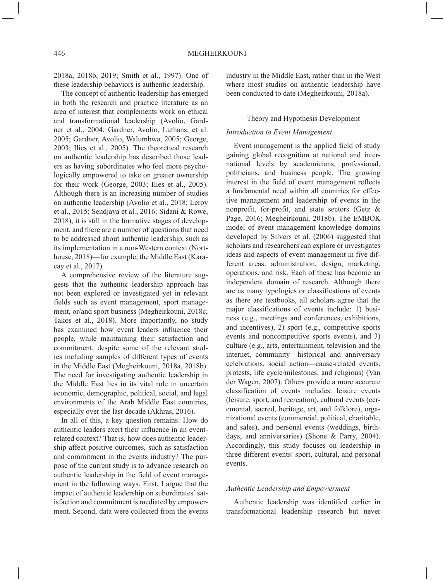2018a, 2018b, 2019; Smith et al., 1997). One of these leadership behaviors is authentic leadership.

The concept of authentic leadership has emerged in both the research and practice literature as an area of interest that complements work on ethical and transformational leadership (Avolio, Gardner et al., 2004; Gardner, Avolio, Luthans, et al. 2005; Gardner, Avolio, Walumbwa, 2005; George, 2003; Ilies et al., 2005). The theoretical research on authentic leadership has described those leaders as having subordinates who feel more psychologically empowered to take on greater ownership for their work (George, 2003; Ilies et al., 2005). Although there is an increasing number of studies on authentic leadership (Avolio et al., 2018; Leroy et al., 2015; Sendjaya et al., 2016; Sidani & Rowe, 2018), it is still in the formative stages of development, and there are a number of questions that need to be addressed about authentic leadership, such as its implementation in a non-Western context (Northouse, 2018)—for example, the Middle East (Karacay et al., 2017).

A comprehensive review of the literature suggests that the authentic leadership approach has not been explored or investigated yet in relevant fields such as event management, sport management, or/and sport business (Megheirkouni, 2018c; Takos et al., 2018). More importantly, no study has examined how event leaders influence their people, while maintaining their satisfaction and commitment, despite some of the relevant studies including samples of different types of events in the Middle East (Megheirkouni, 2018a, 2018b). The need for investigating authentic leadership in the Middle East lies in its vital role in uncertain economic, demographic, political, social, and legal environments of the Arab Middle East countries, especially over the last decade (Akhras, 2016).

In all of this, a key question remains: How do authentic leaders exert their influence in an eventrelated context? That is, how does authentic leadership affect positive outcomes, such as satisfaction and commitment in the events industry? The purpose of the current study is to advance research on authentic leadership in the field of event management in the following ways. First, I argue that the impact of authentic leadership on subordinates' satisfaction and commitment is mediated by empowerment. Second, data were collected from the events industry in the Middle East, rather than in the West where most studies on authentic leadership have been conducted to date (Megheirkouni, 2018a).

## Theory and Hypothesis Development

## *Introduction to Event Management*

Event management is the applied field of study gaining global recognition at national and international levels by academicians, professional, politicians, and business people. The growing interest in the field of event management reflects a fundamental need within all countries for effective management and leadership of events in the nonprofit, for-profit, and state sectors (Getz & Page, 2016; Megheirkouni, 2018b). The EMBOK model of event management knowledge domains developed by Silvers et al. (2006) suggested that scholars and researchers can explore or investigates ideas and aspects of event management in five different areas: administration, design, marketing, operations, and risk. Each of these has become an independent domain of research. Although there are as many typologies or classifications of events as there are textbooks, all scholars agree that the major classifications of events include: 1) business (e.g., meetings and conferences, exhibitions, and incentives), 2) sport (e.g., competitive sports events and noncompetitive sports events), and 3) culture (e.g., arts, entertainment, television and the internet, community—historical and anniversary celebrations, social action—cause-related events, protests, life cycle/milestones, and religious) (Van der Wagen, 2007). Others provide a more accurate classification of events includes: leisure events (leisure, sport, and recreation), cultural events (ceremonial, sacred, heritage, art, and folklore), organizational events (commercial, political, charitable, and sales), and personal events (weddings, birthdays, and anniversaries) (Shone & Parry, 2004). Accordingly, this study focuses on leadership in three different events: sport, cultural, and personal events.

### *Authentic Leadership and Empowerment*

Authentic leadership was identified earlier in transformational leadership research but never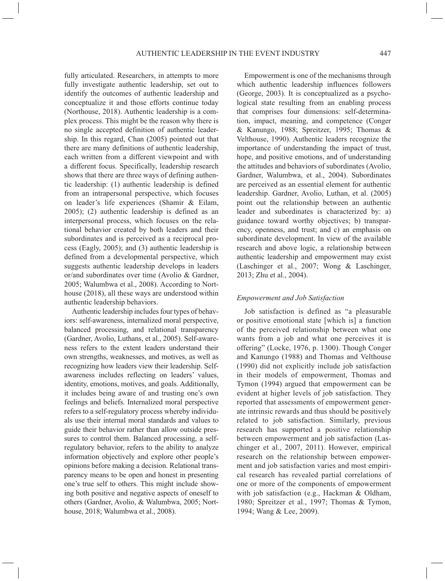fully articulated. Researchers, in attempts to more fully investigate authentic leadership, set out to identify the outcomes of authentic leadership and conceptualize it and those efforts continue today (Northouse, 2018). Authentic leadership is a complex process. This might be the reason why there is no single accepted definition of authentic leadership. In this regard, Chan (2005) pointed out that there are many definitions of authentic leadership, each written from a different viewpoint and with a different focus. Specifically, leadership research shows that there are three ways of defining authentic leadership: (1) authentic leadership is defined from an intrapersonal perspective, which focuses on leader's life experiences (Shamir & Eilam, 2005); (2) authentic leadership is defined as an interpersonal process, which focuses on the relational behavior created by both leaders and their subordinates and is perceived as a reciprocal process (Eagly, 2005); and (3) authentic leadership is defined from a developmental perspective, which suggests authentic leadership develops in leaders or/and subordinates over time (Avolio & Gardner, 2005; Walumbwa et al., 2008). According to Northouse (2018), all these ways are understood within authentic leadership behaviors.

Authentic leadership includes four types of behaviors: self-awareness, internalized moral perspective, balanced processing, and relational transparency (Gardner, Avolio, Luthans, et al., 2005). Self-awareness refers to the extent leaders understand their own strengths, weaknesses, and motives, as well as recognizing how leaders view their leadership. Selfawareness includes reflecting on leaders' values, identity, emotions, motives, and goals. Additionally, it includes being aware of and trusting one's own feelings and beliefs. Internalized moral perspective refers to a self-regulatory process whereby individuals use their internal moral standards and values to guide their behavior rather than allow outside pressures to control them. Balanced processing, a selfregulatory behavior, refers to the ability to analyze information objectively and explore other people's opinions before making a decision. Relational transparency means to be open and honest in presenting one's true self to others. This might include showing both positive and negative aspects of oneself to others (Gardner, Avolio, & Walumbwa, 2005; Northouse, 2018; Walumbwa et al., 2008).

Empowerment is one of the mechanisms through which authentic leadership influences followers (George, 2003). It is conceptualized as a psychological state resulting from an enabling process that comprises four dimensions: self-determination, impact, meaning, and competence (Conger & Kanungo, 1988; Spreitzer, 1995; Thomas & Velthouse, 1990). Authentic leaders recognize the importance of understanding the impact of trust, hope, and positive emotions, and of understanding the attitudes and behaviors of subordinates (Avolio, Gardner, Walumbwa, et al., 2004). Subordinates are perceived as an essential element for authentic leadership. Gardner, Avolio, Luthan, et al. (2005) point out the relationship between an authentic leader and subordinates is characterized by: a) guidance toward worthy objectives; b) transparency, openness, and trust; and c) an emphasis on subordinate development. In view of the available research and above logic, a relationship between authentic leadership and empowerment may exist (Laschinger et al., 2007; Wong & Laschinger, 2013; Zhu et al., 2004).

## *Empowerment and Job Satisfaction*

Job satisfaction is defined as "a pleasurable or positive emotional state [which is] a function of the perceived relationship between what one wants from a job and what one perceives it is offering" (Locke, 1976, p. 1300). Though Conger and Kanungo (1988) and Thomas and Velthouse (1990) did not explicitly include job satisfaction in their models of empowerment, Thomas and Tymon (1994) argued that empowerment can be evident at higher levels of job satisfaction. They reported that assessments of empowerment generate intrinsic rewards and thus should be positively related to job satisfaction. Similarly, previous research has supported a positive relationship between empowerment and job satisfaction (Laschinger et al., 2007, 2011). However, empirical research on the relationship between empowerment and job satisfaction varies and most empirical research has revealed partial correlations of one or more of the components of empowerment with job satisfaction (e.g., Hackman & Oldham, 1980; Spreitzer et al., 1997; Thomas & Tymon, 1994; Wang & Lee, 2009).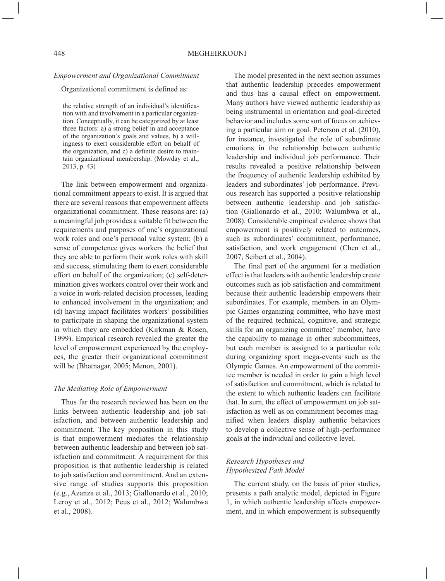#### *Empowerment and Organizational Commitment*

Organizational commitment is defined as:

the relative strength of an individual's identification with and involvement in a particular organization. Conceptually, it can be categorized by at least three factors: a) a strong belief in and acceptance of the organization's goals and values, b) a willingness to exert considerable effort on behalf of the organization, and c) a definite desire to maintain organizational membership. (Mowday et al., 2013, p. 43)

The link between empowerment and organizational commitment appears to exist. It is argued that there are several reasons that empowerment affects organizational commitment. These reasons are: (a) a meaningful job provides a suitable fit between the requirements and purposes of one's organizational work roles and one's personal value system; (b) a sense of competence gives workers the belief that they are able to perform their work roles with skill and success, stimulating them to exert considerable effort on behalf of the organization; (c) self-determination gives workers control over their work and a voice in work-related decision processes, leading to enhanced involvement in the organization; and (d) having impact facilitates workers' possibilities to participate in shaping the organizational system in which they are embedded (Kirkman & Rosen, 1999). Empirical research revealed the greater the level of empowerment experienced by the employees, the greater their organizational commitment will be (Bhatnagar, 2005; Menon, 2001).

#### *The Mediating Role of Empowerment*

Thus far the research reviewed has been on the links between authentic leadership and job satisfaction, and between authentic leadership and commitment. The key proposition in this study is that empowerment mediates the relationship between authentic leadership and between job satisfaction and commitment. A requirement for this proposition is that authentic leadership is related to job satisfaction and commitment. And an extensive range of studies supports this proposition (e.g., Azanza et al., 2013; Giallonardo et al., 2010; Leroy et al., 2012; Peus et al., 2012; Walumbwa et al., 2008).

The model presented in the next section assumes that authentic leadership precedes empowerment and thus has a causal effect on empowerment. Many authors have viewed authentic leadership as being instrumental in orientation and goal-directed behavior and includes some sort of focus on achieving a particular aim or goal. Peterson et al. (2010), for instance, investigated the role of subordinate emotions in the relationship between authentic leadership and individual job performance. Their results revealed a positive relationship between the frequency of authentic leadership exhibited by leaders and subordinates' job performance. Previous research has supported a positive relationship between authentic leadership and job satisfaction (Giallonardo et al., 2010; Walumbwa et al., 2008). Considerable empirical evidence shows that empowerment is positively related to outcomes, such as subordinates' commitment, performance, satisfaction, and work engagement (Chen et al., 2007; Seibert et al., 2004).

The final part of the argument for a mediation effect is that leaders with authentic leadership create outcomes such as job satisfaction and commitment because their authentic leadership empowers their subordinates. For example, members in an Olympic Games organizing committee, who have most of the required technical, cognitive, and strategic skills for an organizing committee' member, have the capability to manage in other subcommittees, but each member is assigned to a particular role during organizing sport mega-events such as the Olympic Games. An empowerment of the committee member is needed in order to gain a high level of satisfaction and commitment, which is related to the extent to which authentic leaders can facilitate that. In sum, the effect of empowerment on job satisfaction as well as on commitment becomes magnified when leaders display authentic behaviors to develop a collective sense of high-performance goals at the individual and collective level.

# *Research Hypotheses and Hypothesized Path Model*

The current study, on the basis of prior studies, presents a path analytic model, depicted in Figure 1, in which authentic leadership affects empowerment, and in which empowerment is subsequently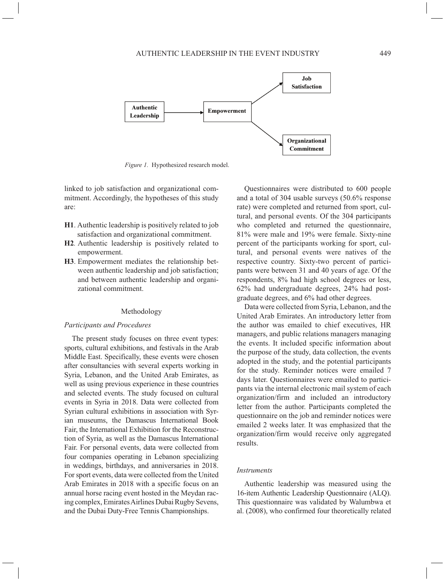

*Figure 1.* Hypothesized research model.

linked to job satisfaction and organizational commitment. Accordingly, the hypotheses of this study are:

- **H1**. Authentic leadership is positively related to job satisfaction and organizational commitment.
- **H2***.* Authentic leadership is positively related to empowerment.
- **H3**. Empowerment mediates the relationship between authentic leadership and job satisfaction; and between authentic leadership and organizational commitment.

#### Methodology

#### *Participants and Procedures*

The present study focuses on three event types: sports, cultural exhibitions, and festivals in the Arab Middle East. Specifically, these events were chosen after consultancies with several experts working in Syria, Lebanon, and the United Arab Emirates, as well as using previous experience in these countries and selected events. The study focused on cultural events in Syria in 2018. Data were collected from Syrian cultural exhibitions in association with Syrian museums, the Damascus International Book Fair, the International Exhibition for the Reconstruction of Syria, as well as the Damascus International Fair. For personal events, data were collected from four companies operating in Lebanon specializing in weddings, birthdays, and anniversaries in 2018. For sport events, data were collected from the United Arab Emirates in 2018 with a specific focus on an annual horse racing event hosted in the Meydan racing complex, Emirates Airlines Dubai Rugby Sevens, and the Dubai Duty-Free Tennis Championships.

Questionnaires were distributed to 600 people and a total of 304 usable surveys (50.6% response rate) were completed and returned from sport, cultural, and personal events. Of the 304 participants who completed and returned the questionnaire, 81% were male and 19% were female. Sixty-nine percent of the participants working for sport, cultural, and personal events were natives of the respective country. Sixty-two percent of participants were between 31 and 40 years of age. Of the respondents, 8% had high school degrees or less, 62% had undergraduate degrees, 24% had postgraduate degrees, and 6% had other degrees.

Data were collected from Syria, Lebanon, and the United Arab Emirates. An introductory letter from the author was emailed to chief executives, HR managers, and public relations managers managing the events. It included specific information about the purpose of the study, data collection, the events adopted in the study, and the potential participants for the study. Reminder notices were emailed 7 days later. Questionnaires were emailed to participants via the internal electronic mail system of each organization/firm and included an introductory letter from the author. Participants completed the questionnaire on the job and reminder notices were emailed 2 weeks later. It was emphasized that the organization/firm would receive only aggregated results.

### *Instruments*

Authentic leadership was measured using the 16-item Authentic Leadership Questionnaire (ALQ). This questionnaire was validated by Walumbwa et al. (2008), who confirmed four theoretically related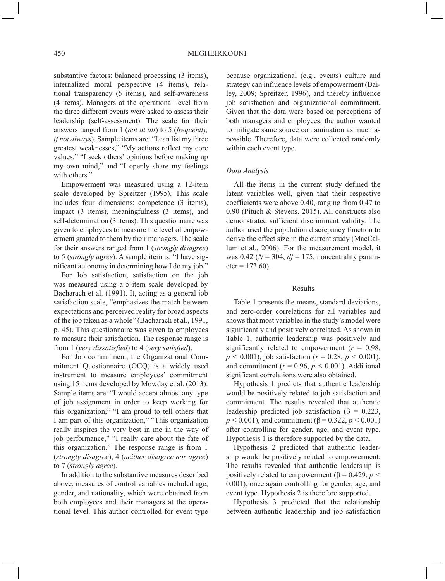substantive factors: balanced processing (3 items), internalized moral perspective (4 items), relational transparency (5 items), and self-awareness (4 items). Managers at the operational level from the three different events were asked to assess their leadership (self-assessment). The scale for their answers ranged from 1 (*not at all*) to 5 (*frequently, if not always*). Sample items are: "I can list my three greatest weaknesses," "My actions reflect my core values," "I seek others' opinions before making up my own mind," and "I openly share my feelings with others."

Empowerment was measured using a 12-item scale developed by Spreitzer (1995). This scale includes four dimensions: competence (3 items), impact (3 items), meaningfulness (3 items), and self-determination (3 items). This questionnaire was given to employees to measure the level of empowerment granted to them by their managers. The scale for their answers ranged from 1 (*strongly disagree*) to 5 (*strongly agree*). A sample item is, "I have significant autonomy in determining how I do my job."

For Job satisfaction, satisfaction on the job was measured using a 5-item scale developed by Bacharach et al. (1991). It, acting as a general job satisfaction scale, "emphasizes the match between expectations and perceived reality for broad aspects of the job taken as a whole" (Bacharach et al., 1991, p. 45). This questionnaire was given to employees to measure their satisfaction. The response range is from 1 (*very dissatisfied*) to 4 (*very satisfied*).

For Job commitment, the Organizational Commitment Questionnaire (OCQ) is a widely used instrument to measure employees' commitment using 15 items developed by Mowday et al. (2013). Sample items are: "I would accept almost any type of job assignment in order to keep working for this organization," "I am proud to tell others that I am part of this organization," "This organization really inspires the very best in me in the way of job performance," "I really care about the fate of this organization." The response range is from 1 (*strongly disagree*), 4 (*neither disagree nor agree*) to 7 (*strongly agree*).

In addition to the substantive measures described above, measures of control variables included age, gender, and nationality, which were obtained from both employees and their managers at the operational level. This author controlled for event type

because organizational (e.g., events) culture and strategy can influence levels of empowerment (Bailey, 2009; Spreitzer, 1996), and thereby influence job satisfaction and organizational commitment. Given that the data were based on perceptions of both managers and employees, the author wanted to mitigate same source contamination as much as possible. Therefore, data were collected randomly within each event type.

## *Data Analysis*

All the items in the current study defined the latent variables well, given that their respective coefficients were above 0.40, ranging from 0.47 to 0.90 (Pituch & Stevens, 2015). All constructs also demonstrated sufficient discriminant validity. The author used the population discrepancy function to derive the effect size in the current study (MacCallum et al., 2006). For the measurement model, it was 0.42 ( $N = 304$ ,  $df = 175$ , noncentrality param $eter = 173.60$ ).

### Results

Table 1 presents the means, standard deviations, and zero-order correlations for all variables and shows that most variables in the study's model were significantly and positively correlated. As shown in Table 1, authentic leadership was positively and significantly related to empowerment  $(r = 0.98,$  $p < 0.001$ ), job satisfaction ( $r = 0.28$ ,  $p < 0.001$ ), and commitment ( $r = 0.96$ ,  $p < 0.001$ ). Additional significant correlations were also obtained.

Hypothesis 1 predicts that authentic leadership would be positively related to job satisfaction and commitment. The results revealed that authentic leadership predicted job satisfaction ( $\beta = 0.223$ ,  $p < 0.001$ ), and commitment ( $\beta = 0.322$ ,  $p < 0.001$ ) after controlling for gender, age, and event type. Hypothesis 1 is therefore supported by the data.

Hypothesis 2 predicted that authentic leadership would be positively related to empowerment. The results revealed that authentic leadership is positively related to empowerment ( $β = 0.429, p <$ 0*.*001), once again controlling for gender, age, and event type. Hypothesis 2 is therefore supported.

Hypothesis 3 predicted that the relationship between authentic leadership and job satisfaction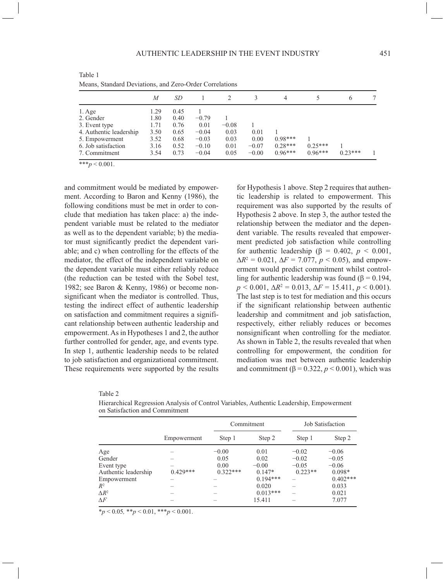|                         | M    | SD   |         |         |         | 4         |           | 6         |  |
|-------------------------|------|------|---------|---------|---------|-----------|-----------|-----------|--|
| $1. \text{Age}$         | 1.29 | 0.45 |         |         |         |           |           |           |  |
| 2. Gender               | 1.80 | 0.40 | $-0.79$ |         |         |           |           |           |  |
| 3. Event type           | 1.71 | 0.76 | 0.01    | $-0.08$ |         |           |           |           |  |
| 4. Authentic leadership | 3.50 | 0.65 | $-0.04$ | 0.03    | 0.01    |           |           |           |  |
| 5. Empowerment          | 3.52 | 0.68 | $-0.03$ | 0.03    | 0.00    | $0.98***$ |           |           |  |
| 6. Job satisfaction     | 3.16 | 0.52 | $-0.10$ | 0.01    | $-0.07$ | $0.28***$ | $0.25***$ |           |  |
| 7. Commitment           | 3.54 | 0.73 | $-0.04$ | 0.05    | $-0.00$ | $0.96***$ | $0.96***$ | $0.23***$ |  |

Table 1 Means, Standard Deviations, and Zero-Order Correlations

 $***p < 0.001$ .

and commitment would be mediated by empowerment. According to Baron and Kenny (1986), the following conditions must be met in order to conclude that mediation has taken place: a) the independent variable must be related to the mediator as well as to the dependent variable; b) the mediator must significantly predict the dependent variable; and c) when controlling for the effects of the mediator, the effect of the independent variable on the dependent variable must either reliably reduce (the reduction can be tested with the Sobel test, 1982; see Baron & Kenny, 1986) or become nonsignificant when the mediator is controlled. Thus, testing the indirect effect of authentic leadership on satisfaction and commitment requires a significant relationship between authentic leadership and empowerment. As in Hypotheses 1 and 2, the author further controlled for gender, age, and events type. In step 1, authentic leadership needs to be related to job satisfaction and organizational commitment. These requirements were supported by the results for Hypothesis 1 above. Step 2 requires that authentic leadership is related to empowerment. This requirement was also supported by the results of Hypothesis 2 above. In step 3, the author tested the relationship between the mediator and the dependent variable. The results revealed that empowerment predicted job satisfaction while controlling for authentic leadership (β = 0.402, *p* < 0.001,  $\Delta R^2 = 0.021$ ,  $\Delta F = 7.077$ ,  $p < 0.05$ ), and empowerment would predict commitment whilst controlling for authentic leadership was found ( $\beta$  = 0.194,  $p < 0.001$ ,  $\Delta R^2 = 0.013$ ,  $\Delta F = 15.411$ ,  $p < 0.001$ ). The last step is to test for mediation and this occurs if the significant relationship between authentic leadership and commitment and job satisfaction, respectively, either reliably reduces or becomes nonsignificant when controlling for the mediator. As shown in Table 2, the results revealed that when controlling for empowerment, the condition for mediation was met between authentic leadership and commitment ( $\beta$  = 0.322,  $p$  < 0.001), which was

| × | I<br>×<br>i |  |
|---|-------------|--|
|   |             |  |

Hierarchical Regression Analysis of Control Variables, Authentic Leadership, Empowerment on Satisfaction and Commitment

|                      |             |            | Commitment |           | Job Satisfaction |  |  |  |
|----------------------|-------------|------------|------------|-----------|------------------|--|--|--|
|                      | Empowerment | Step 1     | Step 2     | Step 1    | Step 2           |  |  |  |
| Age                  |             | $-0.00$    | 0.01       | $-0.02$   | $-0.06$          |  |  |  |
| Gender               |             | 0.05       | 0.02       | $-0.02$   | $-0.05$          |  |  |  |
| Event type           |             | 0.00       | $-0.00$    | $-0.05$   | $-0.06$          |  |  |  |
| Authentic leadership | $0.429***$  | $0.322***$ | $0.147*$   | $0.223**$ | $0.098*$         |  |  |  |
| Empowerment          |             |            | $0.194***$ |           | $0.402***$       |  |  |  |
| $R^2$                |             |            | 0.020      |           | 0.033            |  |  |  |
| $\Lambda R^2$        |             |            | $0.013***$ |           | 0.021            |  |  |  |
| $\Lambda F$          |             |            | 15.411     |           | 7.077            |  |  |  |

\**p* < 0.05*,* \*\**p* < 0.01, \*\*\**p* < 0.001.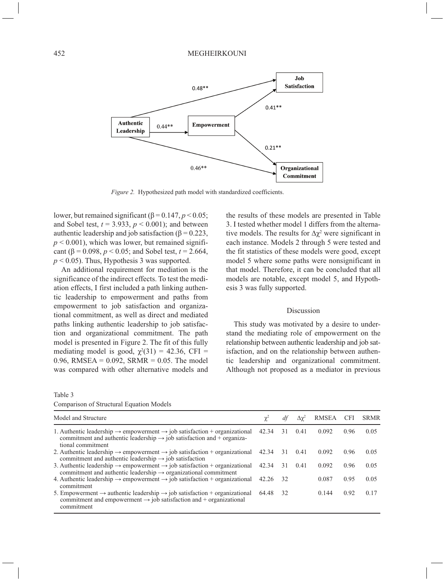

*Figure 2.* Hypothesized path model with standardized coefficients.

lower, but remained significant ( $β = 0.147, p < 0.05$ ; and Sobel test,  $t = 3.933$ ,  $p < 0.001$ ); and between authentic leadership and job satisfaction ( $β = 0.223$ ,  $p < 0.001$ ), which was lower, but remained significant (β = 0.098, *p* < 0.05; and Sobel test, *t* = 2.664,  $p < 0.05$ ). Thus, Hypothesis 3 was supported.

An additional requirement for mediation is the significance of the indirect effects. To test the mediation effects, I first included a path linking authentic leadership to empowerment and paths from empowerment to job satisfaction and organizational commitment, as well as direct and mediated paths linking authentic leadership to job satisfaction and organizational commitment. The path model is presented in Figure 2. The fit of this fully mediating model is good,  $\chi^2(31) = 42.36$ , CFI = 0.96, RMSEA =  $0.092$ , SRMR = 0.05. The model was compared with other alternative models and

the results of these models are presented in Table 3. I tested whether model 1 differs from the alternative models. The results for  $\Delta \chi^2$  were significant in each instance. Models 2 through 5 were tested and the fit statistics of these models were good, except model 5 where some paths were nonsignificant in that model. Therefore, it can be concluded that all models are notable, except model 5, and Hypothesis 3 was fully supported.

## Discussion

This study was motivated by a desire to understand the mediating role of empowerment on the relationship between authentic leadership and job satisfaction, and on the relationship between authentic leadership and organizational commitment. Although not proposed as a mediator in previous

#### Table 3

|  | Comparison of Structural Equation Models |  |  |
|--|------------------------------------------|--|--|
|--|------------------------------------------|--|--|

| Model and Structure<br>RMSEA<br><b>CFI</b><br>df<br>$\Delta \gamma^2$<br>$\chi^2$<br>1. Authentic leadership $\rightarrow$ empowerment $\rightarrow$ job satisfaction + organizational<br>42.34<br>0.092<br>0.96<br>31<br>0.41<br>commitment and authentic leadership $\rightarrow$ job satisfaction and + organiza-<br>tional commitment<br>2. Authentic leadership $\rightarrow$ empowerment $\rightarrow$ job satisfaction + organizational 42.34<br>0.96<br>31<br>0.092<br>0.41<br>commitment and authentic leadership $\rightarrow$ job satisfaction<br>3. Authentic leadership $\rightarrow$ empowerment $\rightarrow$ job satisfaction + organizational 42.34<br>0.96<br>0.092<br>31<br>0.41<br>commitment and authentic leadership $\rightarrow$ organizational commitment<br>4. Authentic leadership $\rightarrow$ empowerment $\rightarrow$ job satisfaction + organizational<br>0.087<br>0.95<br>42.26<br>32<br>commitment<br>5. Empowerment $\rightarrow$ authentic leadership $\rightarrow$ job satisfaction + organizational<br>0.92<br>0.144<br>32<br>64.48<br>commitment and empowerment $\rightarrow$ job satisfaction and + organizational<br>commitment |  |  |  |             |
|----------------------------------------------------------------------------------------------------------------------------------------------------------------------------------------------------------------------------------------------------------------------------------------------------------------------------------------------------------------------------------------------------------------------------------------------------------------------------------------------------------------------------------------------------------------------------------------------------------------------------------------------------------------------------------------------------------------------------------------------------------------------------------------------------------------------------------------------------------------------------------------------------------------------------------------------------------------------------------------------------------------------------------------------------------------------------------------------------------------------------------------------------------------------------|--|--|--|-------------|
|                                                                                                                                                                                                                                                                                                                                                                                                                                                                                                                                                                                                                                                                                                                                                                                                                                                                                                                                                                                                                                                                                                                                                                            |  |  |  | <b>SRMR</b> |
|                                                                                                                                                                                                                                                                                                                                                                                                                                                                                                                                                                                                                                                                                                                                                                                                                                                                                                                                                                                                                                                                                                                                                                            |  |  |  | 0.05        |
|                                                                                                                                                                                                                                                                                                                                                                                                                                                                                                                                                                                                                                                                                                                                                                                                                                                                                                                                                                                                                                                                                                                                                                            |  |  |  | 0.05        |
|                                                                                                                                                                                                                                                                                                                                                                                                                                                                                                                                                                                                                                                                                                                                                                                                                                                                                                                                                                                                                                                                                                                                                                            |  |  |  | 0.05        |
|                                                                                                                                                                                                                                                                                                                                                                                                                                                                                                                                                                                                                                                                                                                                                                                                                                                                                                                                                                                                                                                                                                                                                                            |  |  |  | 0.05        |
|                                                                                                                                                                                                                                                                                                                                                                                                                                                                                                                                                                                                                                                                                                                                                                                                                                                                                                                                                                                                                                                                                                                                                                            |  |  |  | 0.17        |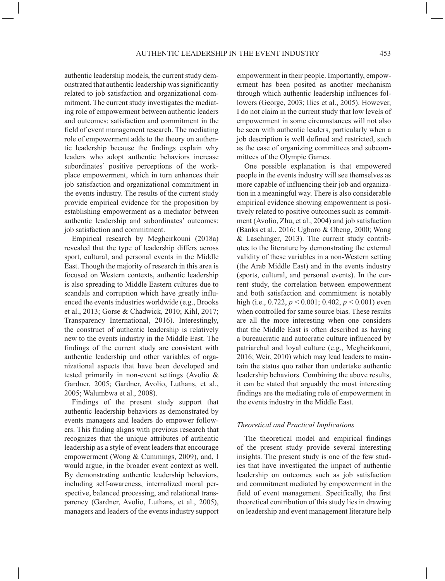authentic leadership models, the current study demonstrated that authentic leadership was significantly related to job satisfaction and organizational commitment. The current study investigates the mediating role of empowerment between authentic leaders and outcomes: satisfaction and commitment in the field of event management research. The mediating role of empowerment adds to the theory on authentic leadership because the findings explain why leaders who adopt authentic behaviors increase subordinates' positive perceptions of the workplace empowerment, which in turn enhances their job satisfaction and organizational commitment in the events industry. The results of the current study provide empirical evidence for the proposition by establishing empowerment as a mediator between authentic leadership and subordinates' outcomes: job satisfaction and commitment.

Empirical research by Megheirkouni (2018a) revealed that the type of leadership differs across sport, cultural, and personal events in the Middle East. Though the majority of research in this area is focused on Western contexts, authentic leadership is also spreading to Middle Eastern cultures due to scandals and corruption which have greatly influenced the events industries worldwide (e.g., Brooks et al., 2013; Gorse & Chadwick, 2010; Kihl, 2017; Transparency International, 2016). Interestingly, the construct of authentic leadership is relatively new to the events industry in the Middle East. The findings of the current study are consistent with authentic leadership and other variables of organizational aspects that have been developed and tested primarily in non-event settings (Avolio & Gardner, 2005; Gardner, Avolio, Luthans, et al., 2005; Walumbwa et al., 2008).

Findings of the present study support that authentic leadership behaviors as demonstrated by events managers and leaders do empower followers. This finding aligns with previous research that recognizes that the unique attributes of authentic leadership as a style of event leaders that encourage empowerment (Wong & Cummings, 2009), and, I would argue, in the broader event context as well. By demonstrating authentic leadership behaviors, including self-awareness, internalized moral perspective, balanced processing, and relational transparency (Gardner, Avolio, Luthans, et al., 2005), managers and leaders of the events industry support

empowerment in their people. Importantly, empowerment has been posited as another mechanism through which authentic leadership influences followers (George, 2003; Ilies et al., 2005). However, I do not claim in the current study that low levels of empowerment in some circumstances will not also be seen with authentic leaders, particularly when a job description is well defined and restricted, such as the case of organizing committees and subcommittees of the Olympic Games.

One possible explanation is that empowered people in the events industry will see themselves as more capable of influencing their job and organization in a meaningful way. There is also considerable empirical evidence showing empowerment is positively related to positive outcomes such as commitment (Avolio, Zhu, et al., 2004) and job satisfaction (Banks et al., 2016; Ugboro & Obeng, 2000; Wong & Laschinger, 2013). The current study contributes to the literature by demonstrating the external validity of these variables in a non-Western setting (the Arab Middle East) and in the events industry (sports, cultural, and personal events). In the current study, the correlation between empowerment and both satisfaction and commitment is notably high (i.e., 0.722, *p* < 0.001; 0.402, *p* < 0.001) even when controlled for same source bias. These results are all the more interesting when one considers that the Middle East is often described as having a bureaucratic and autocratic culture influenced by patriarchal and loyal culture (e.g., Megheirkouni, 2016; Weir, 2010) which may lead leaders to maintain the status quo rather than undertake authentic leadership behaviors. Combining the above results, it can be stated that arguably the most interesting findings are the mediating role of empowerment in the events industry in the Middle East.

## *Theoretical and Practical Implications*

The theoretical model and empirical findings of the present study provide several interesting insights. The present study is one of the few studies that have investigated the impact of authentic leadership on outcomes such as job satisfaction and commitment mediated by empowerment in the field of event management. Specifically, the first theoretical contribution of this study lies in drawing on leadership and event management literature help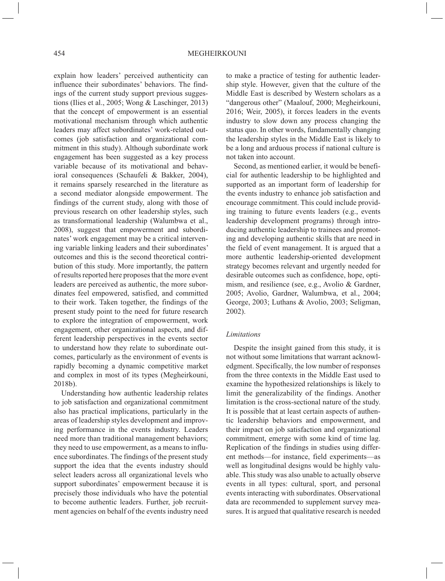explain how leaders' perceived authenticity can influence their subordinates' behaviors. The findings of the current study support previous suggestions (Ilies et al., 2005; Wong & Laschinger, 2013) that the concept of empowerment is an essential motivational mechanism through which authentic leaders may affect subordinates' work-related outcomes (job satisfaction and organizational commitment in this study). Although subordinate work engagement has been suggested as a key process variable because of its motivational and behavioral consequences (Schaufeli & Bakker, 2004), it remains sparsely researched in the literature as a second mediator alongside empowerment. The findings of the current study, along with those of previous research on other leadership styles, such as transformational leadership (Walumbwa et al., 2008), suggest that empowerment and subordinates' work engagement may be a critical intervening variable linking leaders and their subordinates' outcomes and this is the second theoretical contribution of this study. More importantly, the pattern of results reported here proposes that the more event leaders are perceived as authentic, the more subordinates feel empowered, satisfied, and committed to their work. Taken together, the findings of the present study point to the need for future research to explore the integration of empowerment, work engagement, other organizational aspects, and different leadership perspectives in the events sector to understand how they relate to subordinate outcomes, particularly as the environment of events is rapidly becoming a dynamic competitive market and complex in most of its types (Megheirkouni, 2018b).

Understanding how authentic leadership relates to job satisfaction and organizational commitment also has practical implications, particularly in the areas of leadership styles development and improving performance in the events industry. Leaders need more than traditional management behaviors; they need to use empowerment, as a means to influence subordinates. The findings of the present study support the idea that the events industry should select leaders across all organizational levels who support subordinates' empowerment because it is precisely those individuals who have the potential to become authentic leaders. Further, job recruitment agencies on behalf of the events industry need to make a practice of testing for authentic leadership style. However, given that the culture of the Middle East is described by Western scholars as a "dangerous other" (Maalouf, 2000; Megheirkouni, 2016; Weir, 2005), it forces leaders in the events industry to slow down any process changing the status quo. In other words, fundamentally changing the leadership styles in the Middle East is likely to be a long and arduous process if national culture is not taken into account.

Second, as mentioned earlier, it would be beneficial for authentic leadership to be highlighted and supported as an important form of leadership for the events industry to enhance job satisfaction and encourage commitment. This could include providing training to future events leaders (e.g., events leadership development programs) through introducing authentic leadership to trainees and promoting and developing authentic skills that are need in the field of event management. It is argued that a more authentic leadership-oriented development strategy becomes relevant and urgently needed for desirable outcomes such as confidence, hope, optimism, and resilience (see, e.g., Avolio & Gardner, 2005; Avolio, Gardner, Walumbwa, et al., 2004; George, 2003; Luthans & Avolio, 2003; Seligman, 2002).

## *Limitations*

Despite the insight gained from this study, it is not without some limitations that warrant acknowledgment. Specifically, the low number of responses from the three contexts in the Middle East used to examine the hypothesized relationships is likely to limit the generalizability of the findings. Another limitation is the cross-sectional nature of the study. It is possible that at least certain aspects of authentic leadership behaviors and empowerment, and their impact on job satisfaction and organizational commitment, emerge with some kind of time lag. Replication of the findings in studies using different methods—for instance, field experiments—as well as longitudinal designs would be highly valuable. This study was also unable to actually observe events in all types: cultural, sport, and personal events interacting with subordinates. Observational data are recommended to supplement survey measures. It is argued that qualitative research is needed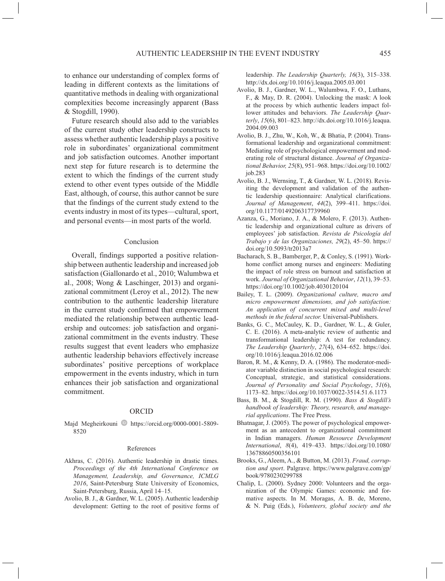to enhance our understanding of complex forms of leading in different contexts as the limitations of quantitative methods in dealing with organizational complexities become increasingly apparent (Bass & Stogdill, 1990).

Future research should also add to the variables of the current study other leadership constructs to assess whether authentic leadership plays a positive role in subordinates' organizational commitment and job satisfaction outcomes. Another important next step for future research is to determine the extent to which the findings of the current study extend to other event types outside of the Middle East, although, of course, this author cannot be sure that the findings of the current study extend to the events industry in most of its types—cultural, sport, and personal events—in most parts of the world.

#### Conclusion

Overall, findings supported a positive relationship between authentic leadership and increased job satisfaction (Giallonardo et al., 2010; Walumbwa et al., 2008; Wong & Laschinger, 2013) and organizational commitment (Leroy et al., 2012). The new contribution to the authentic leadership literature in the current study confirmed that empowerment mediated the relationship between authentic leadership and outcomes: job satisfaction and organizational commitment in the events industry. These results suggest that event leaders who emphasize authentic leadership behaviors effectively increase subordinates' positive perceptions of workplace empowerment in the events industry, which in turn enhances their job satisfaction and organizational commitment.

## ORCID

Majd Megheirkouni https://orcid.org/0000-0001-5809-8520

#### References

- Akhras, C. (2016). Authentic leadership in drastic times. *Proceedings of the 4th International Conference on Management, Leadership, and Governance, ICMLG 2016*, Saint-Petersburg State University of Economics, Saint-Petersburg, Russia, April 14–15.
- Avolio, B. J., & Gardner, W. L. (2005). Authentic leadership development: Getting to the root of positive forms of

leadership. *The Leadership Quarterly, 16*(3), 315–338. <http://dx.doi.org/10.1016/j.leaqua.2005.03.001>

- Avolio, B. J., Gardner, W. L., Walumbwa, F. O., Luthans, F., & May, D. R. (2004). Unlocking the mask: A look at the process by which authentic leaders impact follower attitudes and behaviors. *The Leadership Quarterly*, *15*(6), 801–823. [http://dx.doi.org/10.1016/j.leaqua.](http://dx.doi.org/10.1016/j.leaqua.2004.09.003) [2004.09.003](http://dx.doi.org/10.1016/j.leaqua.2004.09.003)
- Avolio, B. J., Zhu, W., Koh, W., & Bhatia, P. (2004). Transformational leadership and organizational commitment: Mediating role of psychological empowerment and moderating role of structural distance. *Journal of Organizational Behavior, 25*(8), 951–968. [https://doi.org/10.1002/](https://doi.org/10.1002/job.283) [job.283](https://doi.org/10.1002/job.283)
- Avolio, B. J., Wernsing, T., & Gardner, W. L. (2018). Revisiting the development and validation of the authentic leadership questionnaire: Analytical clarifications. *Journal of Management*, *44*(2), 399–411. [https://doi.](https://doi.org/10.1177/0149206317739960) [org/10.1177/0149206317739960](https://doi.org/10.1177/0149206317739960)
- Azanza, G., Moriano, J. A., & Molero, F. (2013). Authentic leadership and organizational culture as drivers of employees' job satisfaction. *Revista de Psicología del Trabajo y de las Organizaciones, 29*(2), 45–50. [https://](https://doi.org/10.5093/tr2013a7) [doi.org/10.5093/tr2013a7](https://doi.org/10.5093/tr2013a7)
- Bacharach, S. B., Bamberger, P., & Conley, S. (1991). Workhome conflict among nurses and engineers: Mediating the impact of role stress on burnout and satisfaction at work. *Journal of Organizational Behavior*, *12*(1), 39–53. <https://doi.org/10.1002/job.4030120104>
- Bailey, T. L. (2009). *Organizational culture, macro and micro empowerment dimensions, and job satisfaction: An application of concurrent mixed and multi-level methods in the federal sector.* Universal-Publishers.
- Banks, G. C., McCauley, K. D., Gardner, W. L., & Guler, C. E. (2016). A meta-analytic review of authentic and transformational leadership: A test for redundancy. *The Leadership Quarterly*, *27*(4), 634–652. [https://doi.](https://doi.org/10.1016/j.leaqua.2016.02.006) [org/10.1016/j.leaqua.2016.02.006](https://doi.org/10.1016/j.leaqua.2016.02.006)
- Baron, R. M., & Kenny, D. A. (1986). The moderator-mediator variable distinction in social psychological research: Conceptual, strategic, and statistical considerations. *Journal of Personality and Social Psychology*, *51*(6), 1173–82. <https://doi.org/10.1037/0022-3514.51.6.1173>
- Bass, B. M., & Stogdill, R. M. (1990). *Bass & Stogdill's handbook of leadership: Theory, research, and managerial applications*. The Free Press.
- Bhatnagar, J. (2005). The power of psychological empowerment as an antecedent to organizational commitment in Indian managers. *Human Resource Development International*, *8*(4), 419–433. [https://doi.org/10.1080/](https://doi.org/10.1080/13678860500356101) [13678860500356101](https://doi.org/10.1080/13678860500356101)
- Brooks, G., Aleem, A., & Button, M. (2013). *Fraud, corruption and sport*. Palgrave. [https://www.palgrave.com/gp/](https://www.palgrave.com/gp/book/9780230299788) [book/9780230299788](https://www.palgrave.com/gp/book/9780230299788)
- Chalip, L. (2000). Sydney 2000: Volunteers and the organization of the Olympic Games: economic and formative aspects. In M. Moragas, A. B. de, Moreno, & N. Puig (Eds.), *Volunteers, global society and the*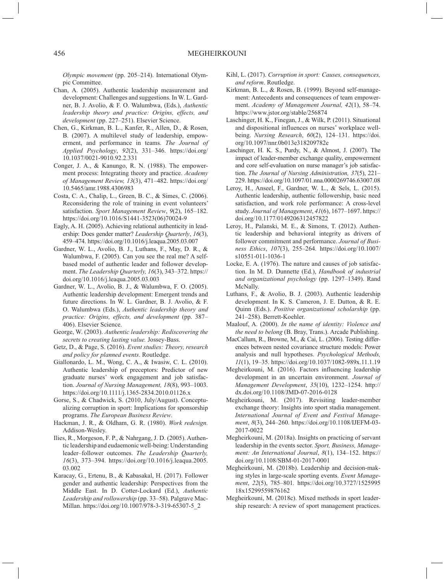*Olympic movement* (pp. 205–214). International Olympic Committee.

- Chan, A. (2005). Authentic leadership measurement and development: Challenges and suggestions. In W. L. Gardner, B. J. Avolio, & F. O. Walumbwa, (Eds.), *Authentic leadership theory and practice: Origins, effects, and development* (pp. 227–251). Elsevier Science.
- Chen, G., Kirkman, B. L., Kanfer, R., Allen, D., & Rosen, B. (2007). A multilevel study of leadership, empowerment, and performance in teams. *The Journal of Applied Psychology*, *92*(2), 331–346. [https://doi.org/](https://doi.org/10.1037/0021-9010.92.2.331) [10.1037/0021-9010.92.2.331](https://doi.org/10.1037/0021-9010.92.2.331)
- Conger, J. A., & Kanungo, R. N. (1988). The empowerment process: Integrating theory and practice. *Academy of Management Review, 13*(3), 471–482. [https://doi.org/](https://doi.org/10.5465/amr.1988.4306983) [10.5465/amr.1988.4306983](https://doi.org/10.5465/amr.1988.4306983)
- Costa, C. A., Chalip, L., Green, B. C., & Simes, C. (2006). Reconsidering the role of training in event volunteers' satisfaction. *Sport Management Review*, *9*(2), 165–182. [https://doi.org/10.1016/S1441-3523\(06\)70024-9](https://doi.org/10.1016/S1441-3523(06)70024-9)
- Eagly, A. H. (2005). Achieving relational authenticity in leadership: Does gender matter? *Leadership Quarterly*, *16*(3), 459–474. <https://doi.org/10.1016/j.leaqua.2005.03.007>
- Gardner, W. L., Avolio, B. J., Luthans, F., May, D. R., & Walumbwa, F. (2005). Can you see the real me? A selfbased model of authentic leader and follower development. *The Leadership Quarterly, 16*(3), 343–372. [https://](https://doi.org/10.1016/j.leaqua.2005.03.003) [doi.org/10.1016/j.leaqua.2005.03.003](https://doi.org/10.1016/j.leaqua.2005.03.003)
- Gardner, W. L., Avolio, B. J., & Walumbwa, F. O. (2005). Authentic leadership development: Emergent trends and future directions. In W. L. Gardner, B. J. Avolio, & F. O. Walumbwa (Eds.), *Authentic leadership theory and practice: Origins, effects, and development* (pp. 387– 406). Elsevier Science.
- George, W. (2003). *Authentic leadership: Rediscovering the secrets to creating lasting value.* Jossey-Bass.
- Getz, D., & Page, S. (2016). *Event studies: Theory, research and policy for planned events*. Routledge.
- Giallonardo, L. M., Wong, C. A., & Iwasiw, C. L. (2010). Authentic leadership of preceptors: Predictor of new graduate nurses' work engagement and job satisfaction. *Journal of Nursing Management, 18*(8), 993–1003. <https://doi.org/10.1111/j.1365-2834.2010.01126.x>
- Gorse, S., & Chadwick, S. (2010, July/August). Conceptualizing corruption in sport: Implications for sponsorship programs. *The European Business Review*.
- Hackman, J. R., & Oldham, G. R. (1980). *Work redesign.*  Addison-Wesley.
- Ilies, R., Morgeson, F. P., & Nahrgang, J. D. (2005). Authentic leadership and eudaemonic well-being: Understanding leader–follower outcomes. *The Leadership Quarterly, 16*(3), 373–394. [https://doi.org/10.1016/j.leaqua.2005.](https://doi.org/10.1016/j.leaqua.2005.03.002) [03.002](https://doi.org/10.1016/j.leaqua.2005.03.002)
- Karacay, G., Ertenu, B., & Kabasakal, H. (2017). Follower gender and authentic leadership: Perspectives from the Middle East. In D. Cotter-Lockard (Ed.), *Authentic Leadership and rollowership* (pp. 33–58). Palgrave Mac-Millan. [https://doi.org/10.1007/978-3-319-65307-5\\_2](https://doi.org/10.1007/978-3-319-65307-5_2)
- Kihl, L. (2017). *Corruption in sport: Causes, consequences, and reform*. Routledge.
- Kirkman, B. L., & Rosen, B. (1999). Beyond self-management: Antecedents and consequences of team empowerment. *Academy of Management Journal, 42*(1), 58–74. <https://www.jstor.org/stable/256874>
- Laschinger, H. K., Finegan, J., & Wilk, P. (2011). Situational and dispositional influences on nurses' workplace wellbeing. *Nursing Research*, *60*(2), 124–131. [https://doi.](https://doi.org/10.1097/nnr.0b013e318209782e) [org/10.1097/nnr.0b013e318209782e](https://doi.org/10.1097/nnr.0b013e318209782e)
- Laschinger, H. K. S., Purdy, N., & Almost, J. (2007). The impact of leader-member exchange quality, empowerment and core self-evaluation on nurse manager's job satisfaction. *The Journal of Nursing Administration, 37*(5), 221– 229.<https://doi.org/10.1097/01.nna.0000269746.63007.08>
- Leroy, H., Anseel, F., Gardner, W. L., & Sels, L. (2015). Authentic leadership, authentic followership, basic need satisfaction, and work role performance: A cross-level study. *Journal of Management*, *41*(6), 1677–1697. [https://](https://doi.org/10.1177/0149206312457822) [doi.org/10.1177/0149206312457822](https://doi.org/10.1177/0149206312457822)
- Leroy, H., Palanski, M. E., & Simons, T. (2012). Authentic leadership and behavioral integrity as drivers of follower commitment and performance. *Journal of Business Ethics*, *107*(3), 255–264. [https://doi.org/10.1007/](https://doi.org/10.1007/s10551-011-1036-1) [s10551-011-1036-1](https://doi.org/10.1007/s10551-011-1036-1)
- Locke, E. A. (1976). The nature and causes of job satisfaction. In M. D. Dunnette (Ed.), *Handbook of industrial and organizational psychology* (pp. 1297–1349). Rand McNally.
- Luthans, F., & Avolio, B. J. (2003). Authentic leadership development. In K. S. Cameron, J. E. Dutton, & R. E. Quinn (Eds.). *Positive organizational scholarship* (pp. 241–258). Berrett-Koehler.
- Maalouf, A. (2000). *In the name of identity: Violence and the need to belong* (B. Bray, Trans.). Arcade Publishing.
- MacCallum, R., Browne, M., & Cai, L. (2006). Testing differences between nested covariance structure models: Power analysis and null hypotheses. *Psychological Methods, 11*(1), 19–35. <https://doi.org/10.1037/1082-989x.11.1.19>
- Megheirkouni, M. (2016). Factors influencing leadership development in an uncertain environment. *Journal of Management Development*, *35*(10), 1232–1254. [http://](http://dx.doi.org/10.1108/JMD-07-2016-0128) [dx.doi.org/10.1108/JMD-07-2016-0128](http://dx.doi.org/10.1108/JMD-07-2016-0128)
- Megheirkouni, M. (2017). Revisiting leader-member exchange theory: Insights into sport stadia management. *International Journal of Event and Festival Management*, *8*(3), 244–260. [https://doi.org/10.1108/IJEFM-03-](https://doi.org/10.1108/IJEFM-03-2017-0022) [2017-0022](https://doi.org/10.1108/IJEFM-03-2017-0022)
- Megheirkouni, M. (2018a). Insights on practicing of servant leadership in the events sector. *Sport, Business, Management: An International Journal*, *8*(1), 134–152. [https://](https://doi.org/10.1108/SBM-01-2017-0001) [doi.org/10.1108/SBM-01-2017-0001](https://doi.org/10.1108/SBM-01-2017-0001)
- Megheirkouni, M. (2018b). Leadership and decision-making styles in large-scale sporting events. *Event Management*, *22*(5), 785–801*.* [https://doi.org/10.3727/1525995](https://doi.org/10.3727/152599518x15299559876162) [18x15299559876162](https://doi.org/10.3727/152599518x15299559876162)
- Megheirkouni, M. (2018c). Mixed methods in sport leadership research: A review of sport management practices.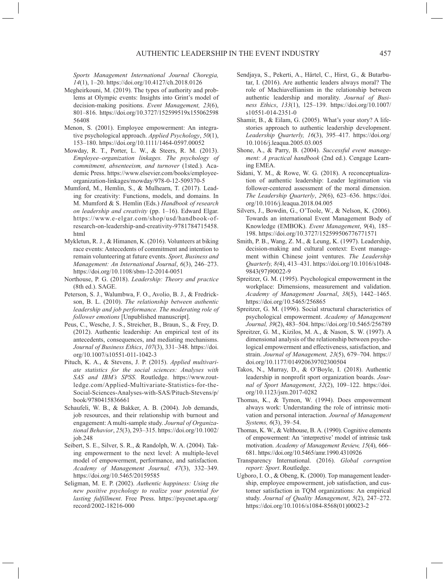*Sports Management International Journal Choregia, 14*(1), 1–20. <https://doi.org/10.4127/ch.2018.0126>

- Megheirkouni, M. (2019). The types of authority and problems at Olympic events: Insights into Grint's model of decision-making positions. *Event Management, 23*(6), 801–816. [https://doi.org/10.3727/152599519x155062598](https://doi.org/10.3727/152599519x15506259856408) [56408](https://doi.org/10.3727/152599519x15506259856408)
- Menon, S. (2001). Employee empowerment: An integrative psychological approach. *Applied Psychology*, *50*(1), 153–180. <https://doi.org/10.1111/1464-0597.00052>
- Mowday, R. T., Porter, L. W., & Steers, R. M. (2013). *Employee–organization linkages. The psychology of commitment, absenteeism, and turnover* (1sted.)*.* Academic Press. [https://www.elsevier.com/books/employee](https://www.elsevier.com/books/employee-organization-linkages/mowday/978-0-12-509370-5)[organization-linkages/mowday/978-0-12-509370-5](https://www.elsevier.com/books/employee-organization-linkages/mowday/978-0-12-509370-5)
- Mumford, M., Hemlin, S., & Mulhearn, T. (2017). Leading for creativity: Functions, models, and domains. In M. Mumford & S. Hemlin (Eds.) *Handbook of research on leadership and creativity* (pp. 1–16). Edward Elgar. [https://www.e-elgar.com/shop/usd/handbook-of](https://www.e-elgar.com/shop/usd/handbook-of-research-on-leadership-and-creativity-9781784715458.html)[research-on-leadership-and-creativity-9781784715458.](https://www.e-elgar.com/shop/usd/handbook-of-research-on-leadership-and-creativity-9781784715458.html) [html](https://www.e-elgar.com/shop/usd/handbook-of-research-on-leadership-and-creativity-9781784715458.html)
- Mykletun, R. J., & Himanen, K. (2016). Volunteers at biking race events: Antecedents of commitment and intention to remain volunteering at future events. *Sport, Business and Management: An International Journal*, *6*(3), 246–273. <https://doi.org/10.1108/sbm-12-2014-0051>
- Northouse, P. G. (2018). *Leadership: Theory and practice*  (8th ed.). SAGE.
- Peterson, S. J., Walumbwa, F. O., Avolio, B. J., & Fredrickson, B. L. (2010). *The relationship between authentic leadership and job performance. The moderating role of follower emotions* [Unpublished manuscript].
- Peus, C., Wesche, J. S., Streicher, B., Braun, S., & Frey, D. (2012). Authentic leadership: An empirical test of its antecedents, consequences, and mediating mechanisms. *Journal of Business Ethics*, *107*(3), 331–348. [https://doi.](https://doi.org/10.1007/s10551-011-1042-3) [org/10.1007/s10551-011-1042-3](https://doi.org/10.1007/s10551-011-1042-3)
- Pituch, K. A., & Stevens, J. P. (2015). *Applied multivariate statistics for the social sciences: Analyses with SAS and IBM's SPSS*. Routledge. [https://www.rout](https://www.routledge.com/Applied-Multivariate-Statistics-for-the-Social-Sciences-Analyses-with-SAS/Pituch-Stevens/p/book/9780415836661)[ledge.com/Applied-Multivariate-Statistics-for-the-](https://www.routledge.com/Applied-Multivariate-Statistics-for-the-Social-Sciences-Analyses-with-SAS/Pituch-Stevens/p/book/9780415836661)[Social-Sciences-Analyses-with-SAS/Pituch-Stevens/p/](https://www.routledge.com/Applied-Multivariate-Statistics-for-the-Social-Sciences-Analyses-with-SAS/Pituch-Stevens/p/book/9780415836661) [book/9780415836661](https://www.routledge.com/Applied-Multivariate-Statistics-for-the-Social-Sciences-Analyses-with-SAS/Pituch-Stevens/p/book/9780415836661)
- Schaufeli, W. B., & Bakker, A. B. (2004). Job demands, job resources, and their relationship with burnout and engagement: A multi-sample study. *Journal of Organizational Behavior*, *25*(3), 293–315. [https://doi.org/10.1002/](https://doi.org/10.1002/job.248) [job.248](https://doi.org/10.1002/job.248)
- Seibert, S. E., Silver, S. R., & Randolph, W. A. (2004). Taking empowerment to the next level: A multiple-level model of empowerment, performance, and satisfaction. *Academy of Management Journal, 47*(3), 332–349. <https://doi.org/10.5465/20159585>
- Seligman, M. E. P. (2002). *Authentic happiness: Using the new positive psychology to realize your potential for lasting fulfillment*. Free Press. [https://psycnet.apa.org/](https://psycnet.apa.org/record/2002-18216-000) [record/2002-18216-000](https://psycnet.apa.org/record/2002-18216-000)
- Sendjaya, S., Pekerti, A., Härtel, C., Hirst, G., & Butarbutar, I. (2016). Are authentic leaders always moral? The role of Machiavellianism in the relationship between authentic leadership and morality. *Journal of Business Ethics*, *133*(1), 125–139. [https://doi.org/10.1007/](https://doi.org/10.1007/s10551-014-2351-0) [s10551-014-2351-0](https://doi.org/10.1007/s10551-014-2351-0)
- Shamir, B., & Eilam, G. (2005). What's your story? A lifestories approach to authentic leadership development. *Leadership Quarterly, 16*(3), 395–417. [https://doi.org/](https://doi.org/10.1016/j.leaqua.2005.03.005) [10.1016/j.leaqua.2005.03.005](https://doi.org/10.1016/j.leaqua.2005.03.005)
- Shone, A., & Parry, B. (2004). *Successful event management: A practical handbook* (2nd ed.). Cengage Learning EMEA.
- Sidani, Y. M., & Rowe, W. G. (2018). A reconceptualization of authentic leadership: Leader legitimation via follower-centered assessment of the moral dimension. *The Leadership Quarterly*, *29*(6), 623–636. [https://doi.](https://doi.org/10.1016/j.leaqua.2018.04.005) [org/10.1016/j.leaqua.2018.04.005](https://doi.org/10.1016/j.leaqua.2018.04.005)
- Silvers, J., Bowdin, G., O'Toole, W., & Nelson, K. (2006). Towards an international Event Management Body of Knowledge (EMBOK). *Event Management*, *9*(4), 185– 198. <https://doi.org/10.3727/152599506776771571>
- Smith, P. B., Wang, Z. M., & Leung, K. (1997). Leadership, decision-making and cultural context: Event management within Chinese joint ventures. *The Leadership Quarterly, 8(*4), 413–431. [https://doi.org/10.1016/s1048-](https://doi.org/10.1016/s1048-9843(97)90022-9) [9843\(97\)90022-9](https://doi.org/10.1016/s1048-9843(97)90022-9)
- Spreitzer, G. M. (1995). Psychological empowerment in the workplace: Dimensions, measurement and validation. *Academy of Management Journal*, *38*(5), 1442–1465. <https://doi.org/10.5465/256865>
- Spreitzer, G. M. (1996). Social structural characteristics of psychological empowerment. *Academy of Management Journal, 39*(2), 483–504.<https://doi.org/10.5465/256789>
- Spreitzer, G. M., Kizilos, M. A., & Nason, S. W. (1997). A dimensional analysis of the relationship between psychological empowerment and effectiveness, satisfaction, and strain. *Journal of Management, 23*(5), 679–704. [https://](https://doi.org/10.1177/014920639702300504) [doi.org/10.1177/014920639702300504](https://doi.org/10.1177/014920639702300504)
- Takos, N., Murray, D., & O'Boyle, I. (2018). Authentic leadership in nonprofit sport organization boards. *Journal of Sport Management*, *32*(2), 109–122. [https://doi.](https://doi.org/10.1123/jsm.2017-0282) [org/10.1123/jsm.2017-0282](https://doi.org/10.1123/jsm.2017-0282)
- Thomas, K., & Tymon, W. (1994). Does empowerment always work: Understanding the role of intrinsic motivation and personal interaction. *Journal of Management Systems, 6*(3), 39–54.
- Thomas, K. W., & Velthouse, B. A. (1990). Cognitive elements of empowerment: An 'interpretive' model of intrinsic task motivation. *Academy of Management Review, 15*(4), 666– 681.<https://doi.org/10.5465/amr.1990.4310926>
- Transparency International. (2016). *Global corruption report: Sport*. Routledge.
- Ugboro, I. O., & Obeng, K. (2000). Top management leadership, employee empowerment, job satisfaction, and customer satisfaction in TQM organizations: An empirical study. *Journal of Quality Management*, *5*(2), 247–272. [https://doi.org/10.1016/s1084-8568\(01\)00023-2](https://doi.org/10.1016/s1084-8568(01)00023-2)